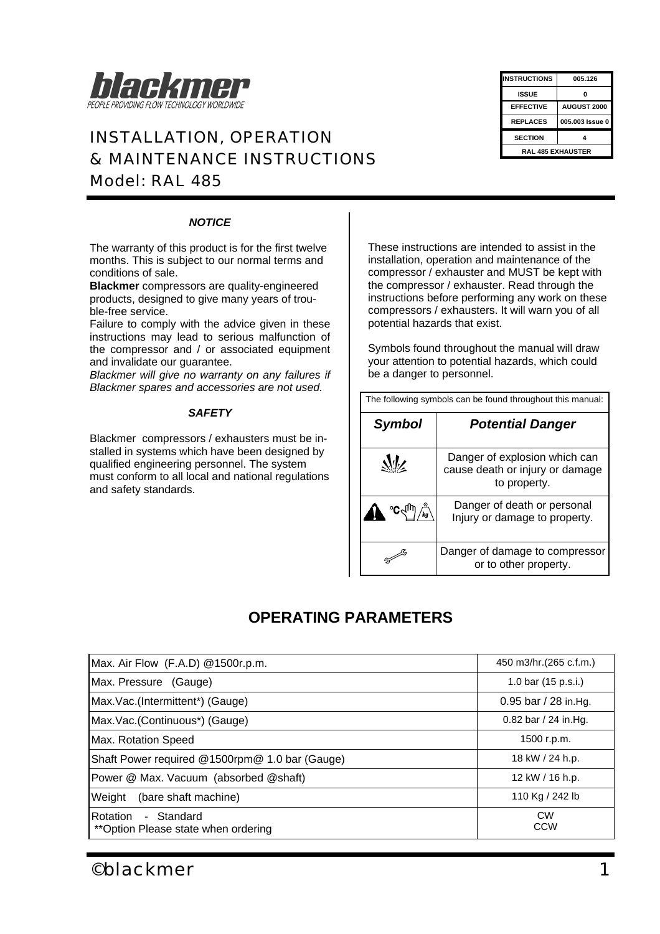

## *INSTALLATION, OPERATION & MAINTENANCE INSTRUCTIONS Model: RAL 485*

| <b>INSTRUCTIONS</b>      | 005.126         |  |
|--------------------------|-----------------|--|
| ISSUE                    | n               |  |
| <b>EFFECTIVE</b>         | AUGUST 2000     |  |
| <b>REPLACES</b>          | 005.003 Issue 0 |  |
| <b>SECTION</b>           |                 |  |
| <b>RAL 485 EXHAUSTER</b> |                 |  |
|                          |                 |  |

### *NOTICE*

The warranty of this product is for the first twelve months. This is subject to our normal terms and conditions of sale.

**Blackmer** compressors are quality-engineered products, designed to give many years of trouble-free service.

Failure to comply with the advice given in these instructions may lead to serious malfunction of the compressor and / or associated equipment and invalidate our guarantee.

*Blackmer will give no warranty on any failures if Blackmer spares and accessories are not used.*

#### *SAFETY*

Blackmer compressors / exhausters must be installed in systems which have been designed by qualified engineering personnel. The system must conform to all local and national regulations and safety standards.

These instructions are intended to assist in the installation, operation and maintenance of the compressor / exhauster and MUST be kept with the compressor / exhauster. Read through the instructions before performing any work on these compressors / exhausters. It will warn you of all potential hazards that exist.

Symbols found throughout the manual will draw your attention to potential hazards, which could be a danger to personnel.

| The following symbols can be found throughout this manual: |
|------------------------------------------------------------|
|                                                            |

| Symbol | <b>Potential Danger</b>                                                          |
|--------|----------------------------------------------------------------------------------|
|        | Danger of explosion which can<br>cause death or injury or damage<br>to property. |
|        | Danger of death or personal<br>Injury or damage to property.                     |
|        | Danger of damage to compressor<br>or to other property.                          |

## **OPERATING PARAMETERS**

| Max. Air Flow (F.A.D) @1500r.p.m.                              | 450 m3/hr. (265 c.f.m.) |
|----------------------------------------------------------------|-------------------------|
| Max. Pressure (Gauge)                                          | 1.0 bar (15 p.s.i.)     |
| Max.Vac.(Intermittent*) (Gauge)                                | 0.95 bar / 28 in Hg.    |
| Max.Vac.(Continuous*) (Gauge)                                  | $0.82$ bar / 24 in.Hg.  |
| Max. Rotation Speed                                            | 1500 r.p.m.             |
| Shaft Power required @1500rpm@ 1.0 bar (Gauge)                 | 18 kW / 24 h.p.         |
| Power @ Max. Vacuum (absorbed @shaft)                          | 12 kW / 16 h.p.         |
| Weight<br>(bare shaft machine)                                 | 110 Kg / 242 lb         |
| Rotation<br>- Standard<br>** Option Please state when ordering | <b>CW</b><br><b>CCW</b> |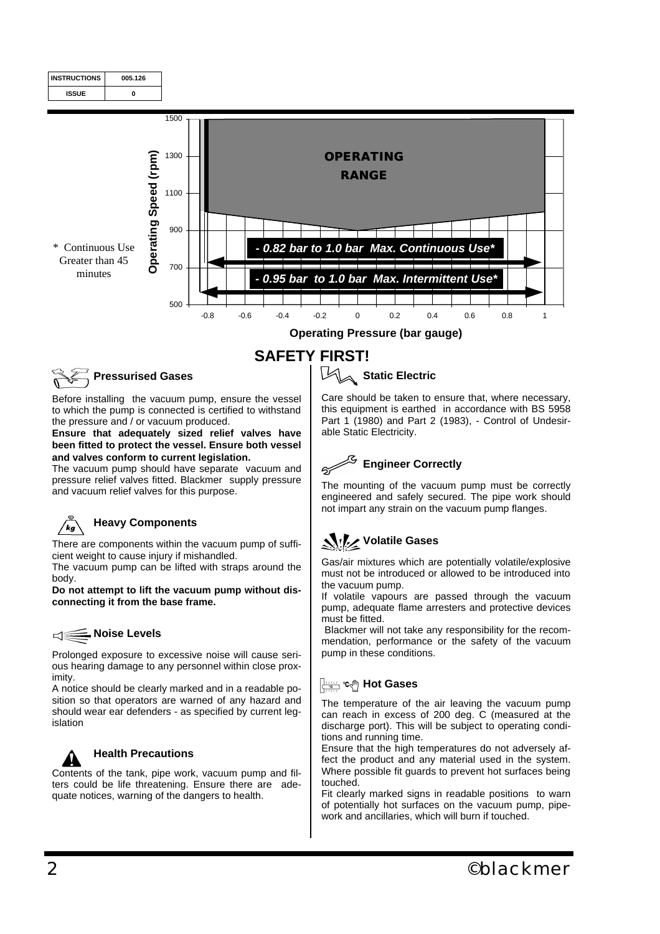

**SAFETY FIRST!**

**Operating Pressure (bar gauge)**

## **Pressurised Gases**

Before installing the vacuum pump, ensure the vessel to which the pump is connected is certified to withstand the pressure and / or vacuum produced.

**Ensure that adequately sized relief valves have been fitted to protect the vessel. Ensure both vessel and valves conform to current legislation.** 

The vacuum pump should have separate vacuum and pressure relief valves fitted. Blackmer supply pressure and vacuum relief valves for this purpose.



## **Heavy Components**

There are components within the vacuum pump of sufficient weight to cause injury if mishandled.

The vacuum pump can be lifted with straps around the body.

**Do not attempt to lift the vacuum pump without disconnecting it from the base frame.**

#### **Noise Levels**  $\leq$

Prolonged exposure to excessive noise will cause serious hearing damage to any personnel within close proximity.

A notice should be clearly marked and in a readable position so that operators are warned of any hazard and should wear ear defenders - as specified by current legislation



## **Health Precautions**

Contents of the tank, pipe work, vacuum pump and filters could be life threatening. Ensure there are adequate notices, warning of the dangers to health.

## **Static Electric**

Care should be taken to ensure that, where necessary, this equipment is earthed in accordance with BS 5958 Part 1 (1980) and Part 2 (1983), - Control of Undesirable Static Electricity.



The mounting of the vacuum pump must be correctly engineered and safely secured. The pipe work should not impart any strain on the vacuum pump flanges.

## **Volatile Gases**

Gas/air mixtures which are potentially volatile/explosive must not be introduced or allowed to be introduced into the vacuum pump.

If volatile vapours are passed through the vacuum pump, adequate flame arresters and protective devices must be fitted.

 Blackmer will not take any responsibility for the recommendation, performance or the safety of the vacuum pump in these conditions.

## **Hot Gases**

The temperature of the air leaving the vacuum pump can reach in excess of 200 deg. C (measured at the discharge port). This will be subject to operating conditions and running time.

Ensure that the high temperatures do not adversely affect the product and any material used in the system. Where possible fit guards to prevent hot surfaces being touched.

Fit clearly marked signs in readable positions to warn of potentially hot surfaces on the vacuum pump, pipework and ancillaries, which will burn if touched.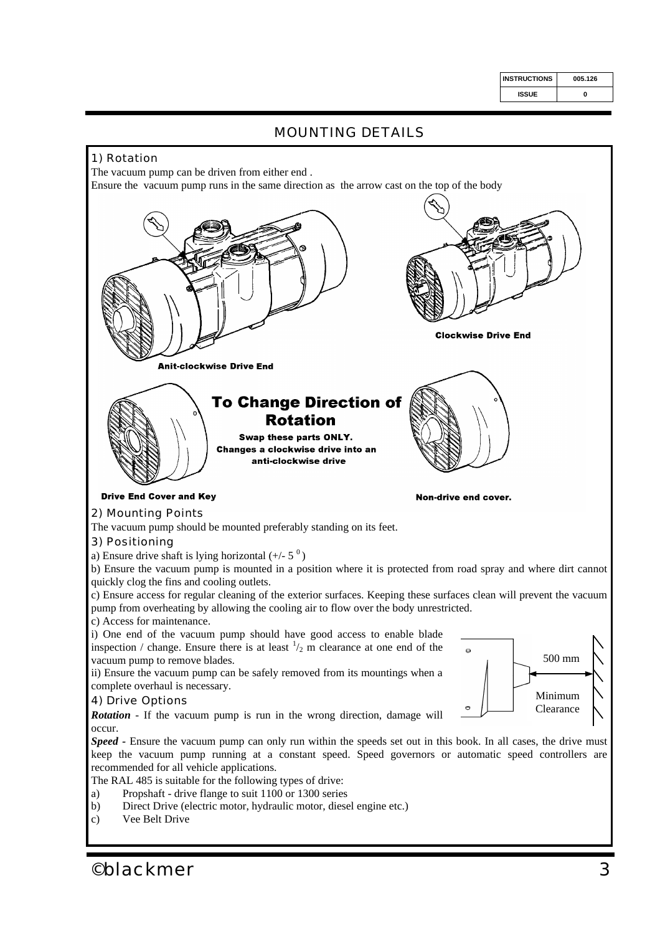| <b>INSTRUCTIONS</b> | 005.126 |
|---------------------|---------|
| <b>ISSUE</b>        | ŋ       |



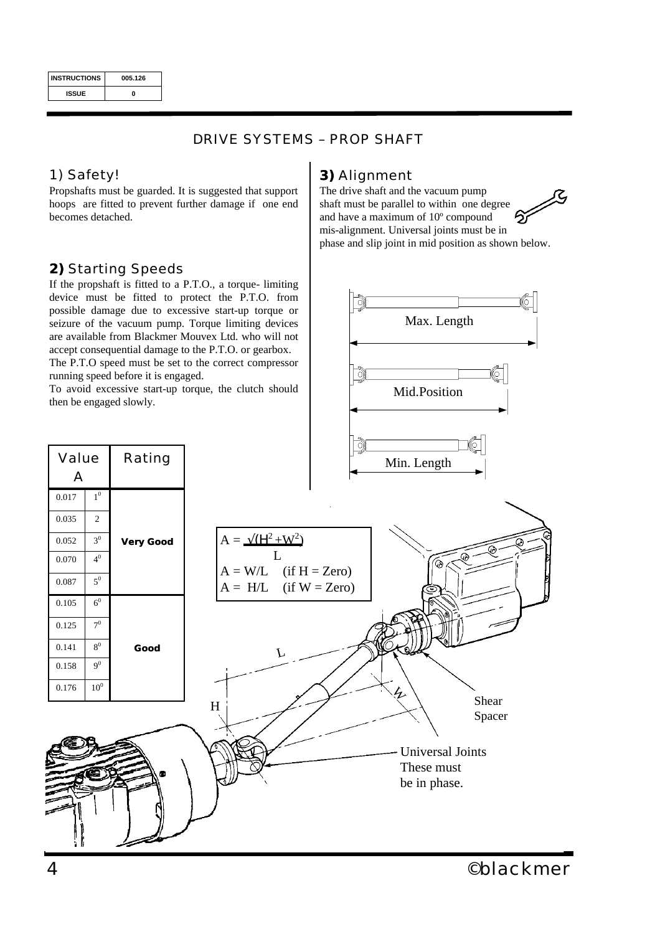| <b>INSTRUCTIONS</b> | 005.126 |
|---------------------|---------|
| <b>ISSUE</b>        | Λ       |

## *DRIVE SYSTEMS – PROP SHAFT*

## *1) Safety!*

Propshafts must be guarded. It is suggested that support hoops are fitted to prevent further damage if one end becomes detached.

## *2) Starting Speeds*

If the propshaft is fitted to a P.T.O., a torque- limiting device must be fitted to protect the P.T.O. from possible damage due to excessive start-up torque or seizure of the vacuum pump. Torque limiting devices are available from Blackmer Mouvex Ltd. who will not accept consequential damage to the P.T.O. or gearbox. The P.T.O speed must be set to the correct compressor

running speed before it is engaged.

then be engaged slowly.

## *3) Alignment*

The drive shaft and the vacuum pump shaft must be parallel to within one degree and have a maximum of 10º compound mis-alignment. Universal joints must be in phase and slip joint in mid position as shown below.

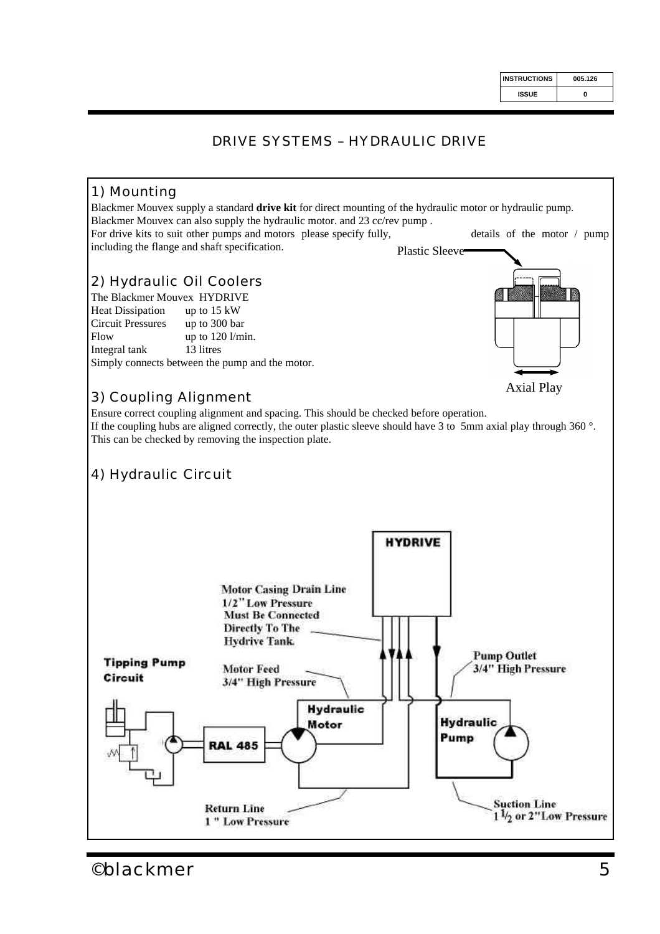## *DRIVE SYSTEMS – HYDRAULIC DRIVE*

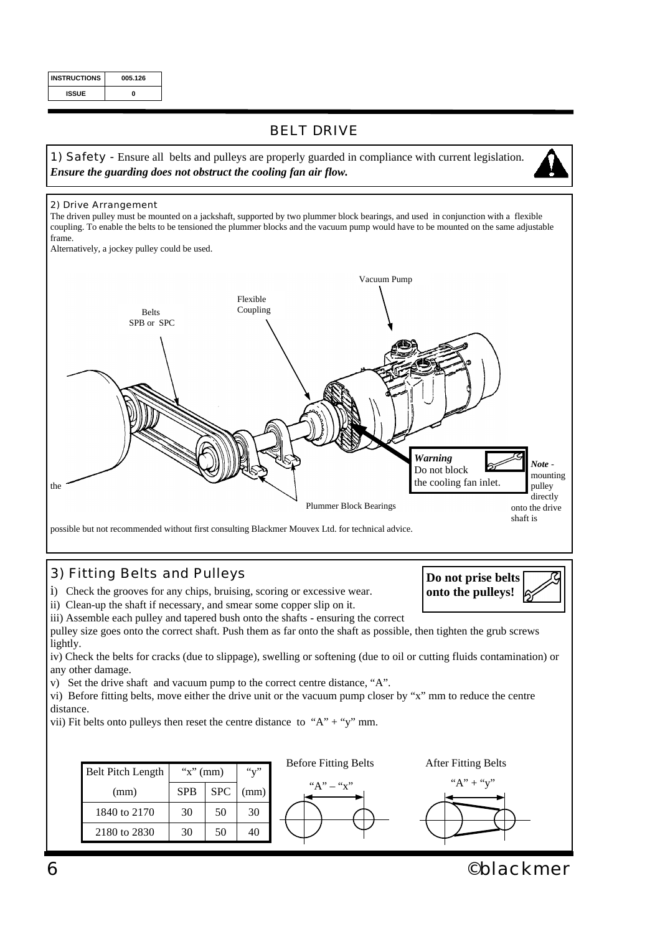| <b>INSTRUCTIONS</b> | 005.126 |
|---------------------|---------|
| <b>ISSUE</b>        | ŋ       |

## *BELT DRIVE*

*1) Safety* - Ensure all belts and pulleys are properly guarded in compliance with current legislation. *Ensure the guarding does not obstruct the cooling fan air flow.*



*2) Drive Arrangement*

The driven pulley must be mounted on a jackshaft, supported by two plummer block bearings, and used in conjunction with a flexible coupling. To enable the belts to be tensioned the plummer blocks and the vacuum pump would have to be mounted on the same adjustable frame.

Alternatively, a jockey pulley could be used.



## *3) Fitting Belts and Pulleys*

i) Check the grooves for any chips, bruising, scoring or excessive wear.

ii) Clean-up the shaft if necessary, and smear some copper slip on it.

iii) Assemble each pulley and tapered bush onto the shafts - ensuring the correct

pulley size goes onto the correct shaft. Push them as far onto the shaft as possible, then tighten the grub screws lightly. iv) Check the belts for cracks (due to slippage), swelling or softening (due to oil or cutting fluids contamination) or

any other damage.

v) Set the drive shaft and vacuum pump to the correct centre distance, "A".

vi) Before fitting belts, move either the drive unit or the vacuum pump closer by "x" mm to reduce the centre distance.

vii) Fit belts onto pulleys then reset the centre distance to "A" + "y" mm.



*6 ©blackmer*

**Do not prise belts onto the pulleys!**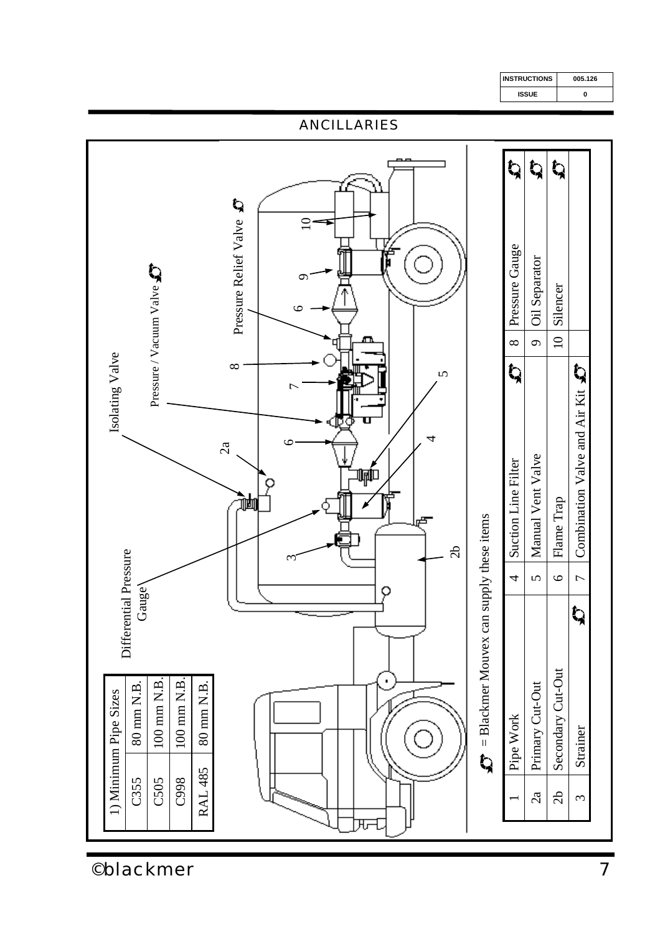

*©blackmer*

**INSTRUCTIONS 005.126**

**0**

**ISSUE**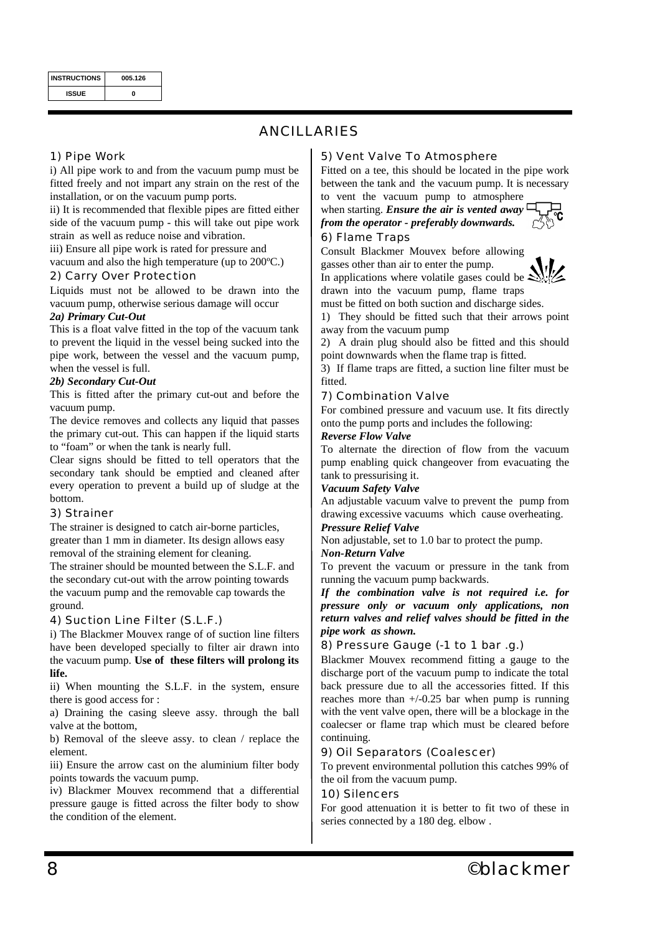| <b>INSTRUCTIONS</b> | 005.126 |
|---------------------|---------|
| <b>ISSUE</b>        | ŋ       |

## *ANCILLARIES*

#### *1) Pipe Work*

i) All pipe work to and from the vacuum pump must be fitted freely and not impart any strain on the rest of the installation, or on the vacuum pump ports.

ii) It is recommended that flexible pipes are fitted either side of the vacuum pump - this will take out pipe work strain as well as reduce noise and vibration.

iii) Ensure all pipe work is rated for pressure and

vacuum and also the high temperature (up to 200ºC.)

## *2) Carry Over Protection*

Liquids must not be allowed to be drawn into the vacuum pump, otherwise serious damage will occur

#### *2a) Primary Cut-Out*

This is a float valve fitted in the top of the vacuum tank to prevent the liquid in the vessel being sucked into the pipe work, between the vessel and the vacuum pump, when the vessel is full.

#### *2b) Secondary Cut-Out*

This is fitted after the primary cut-out and before the vacuum pump.

The device removes and collects any liquid that passes the primary cut-out. This can happen if the liquid starts to "foam" or when the tank is nearly full.

Clear signs should be fitted to tell operators that the secondary tank should be emptied and cleaned after every operation to prevent a build up of sludge at the bottom.

#### *3) Strainer*

The strainer is designed to catch air-borne particles, greater than 1 mm in diameter. Its design allows easy removal of the straining element for cleaning.

The strainer should be mounted between the S.L.F. and the secondary cut-out with the arrow pointing towards the vacuum pump and the removable cap towards the ground.

#### *4) Suction Line Filter (S.L.F.)*

i) The Blackmer Mouvex range of of suction line filters have been developed specially to filter air drawn into the vacuum pump. **Use of these filters will prolong its life.**

ii) When mounting the S.L.F. in the system, ensure there is good access for :

a) Draining the casing sleeve assy. through the ball valve at the bottom,

b) Removal of the sleeve assy. to clean / replace the element.

iii) Ensure the arrow cast on the aluminium filter body points towards the vacuum pump.

iv) Blackmer Mouvex recommend that a differential pressure gauge is fitted across the filter body to show the condition of the element.

#### *5) Vent Valve To Atmosphere*

Fitted on a tee, this should be located in the pipe work between the tank and the vacuum pump. It is necessary

to vent the vacuum pump to atmosphere when starting. *Ensure the air is vented away from the operator - preferably downwards.*



Consult Blackmer Mouvex before allowing gasses other than air to enter the pump.

In applications where volatile gases could be  $\leq$ drawn into the vacuum pump, flame traps



must be fitted on both suction and discharge sides.

1) They should be fitted such that their arrows point away from the vacuum pump

2) A drain plug should also be fitted and this should point downwards when the flame trap is fitted.

3) If flame traps are fitted, a suction line filter must be fitted.

#### *7) Combination Valve*

For combined pressure and vacuum use. It fits directly onto the pump ports and includes the following:

#### *Reverse Flow Valve*

To alternate the direction of flow from the vacuum pump enabling quick changeover from evacuating the tank to pressurising it.

#### *Vacuum Safety Valve*

An adjustable vacuum valve to prevent the pump from drawing excessive vacuums which cause overheating.

#### *Pressure Relief Valve*

Non adjustable, set to 1.0 bar to protect the pump.

#### *Non-Return Valve*

To prevent the vacuum or pressure in the tank from running the vacuum pump backwards.

*If the combination valve is not required i.e. for pressure only or vacuum only applications, non return valves and relief valves should be fitted in the pipe work as shown.*

#### *8) Pressure Gauge (-1 to 1 bar .g.)*

Blackmer Mouvex recommend fitting a gauge to the discharge port of the vacuum pump to indicate the total back pressure due to all the accessories fitted. If this reaches more than +/-0.25 bar when pump is running with the vent valve open, there will be a blockage in the coalecser or flame trap which must be cleared before continuing.

#### *9) Oil Separators (Coalescer)*

To prevent environmental pollution this catches 99% of the oil from the vacuum pump.

#### *10) Silencers*

For good attenuation it is better to fit two of these in series connected by a 180 deg. elbow .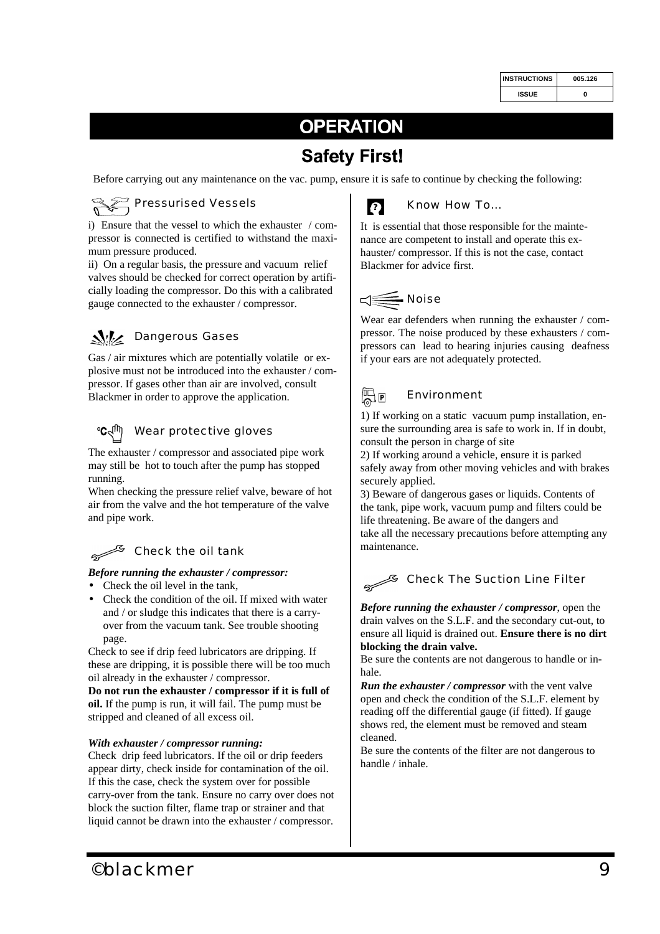| <b>INSTRUCTIONS</b> | 005.126 |
|---------------------|---------|
| ISSUE               | ŋ       |

## **OPERATION**

## **Safety First!**

Before carrying out any maintenance on the vac. pump, ensure it is safe to continue by checking the following:



i) Ensure that the vessel to which the exhauster / compressor is connected is certified to withstand the maximum pressure produced.

ii) On a regular basis, the pressure and vacuum relief valves should be checked for correct operation by artificially loading the compressor. Do this with a calibrated gauge connected to the exhauster / compressor.

## **We Dangerous Gases**

Gas / air mixtures which are potentially volatile or explosive must not be introduced into the exhauster / compressor. If gases other than air are involved, consult Blackmer in order to approve the application.

#### Wear protective gloves  $^{\circ}$ C $\leq$

The exhauster / compressor and associated pipe work may still be hot to touch after the pump has stopped running.

When checking the pressure relief valve, beware of hot air from the valve and the hot temperature of the valve and pipe work.

## Check the oil tank

#### *Before running the exhauster / compressor:*

- Check the oil level in the tank,
- Check the condition of the oil. If mixed with water and / or sludge this indicates that there is a carryover from the vacuum tank. See trouble shooting page.

Check to see if drip feed lubricators are dripping. If these are dripping, it is possible there will be too much oil already in the exhauster / compressor.

**Do not run the exhauster / compressor if it is full of oil.** If the pump is run, it will fail. The pump must be stripped and cleaned of all excess oil.

#### *With exhauster / compressor running:*

Check drip feed lubricators. If the oil or drip feeders appear dirty, check inside for contamination of the oil. If this the case, check the system over for possible carry-over from the tank. Ensure no carry over does not block the suction filter, flame trap or strainer and that liquid cannot be drawn into the exhauster / compressor.



## Know How To...

It is essential that those responsible for the maintenance are competent to install and operate this exhauster/ compressor. If this is not the case, contact Blackmer for advice first.



Wear ear defenders when running the exhauster / compressor. The noise produced by these exhausters / compressors can lead to hearing injuries causing deafness if your ears are not adequately protected.

## 帰回

## Environment

1) If working on a static vacuum pump installation, ensure the surrounding area is safe to work in. If in doubt, consult the person in charge of site

2) If working around a vehicle, ensure it is parked safely away from other moving vehicles and with brakes securely applied.

3) Beware of dangerous gases or liquids. Contents of the tank, pipe work, vacuum pump and filters could be life threatening. Be aware of the dangers and take all the necessary precautions before attempting any maintenance.

## Check The Suction Line Filter

*Before running the exhauster / compressor*, open the drain valves on the S.L.F. and the secondary cut-out, to ensure all liquid is drained out. **Ensure there is no dirt blocking the drain valve.**

Be sure the contents are not dangerous to handle or inhale.

*Run the exhauster / compressor* with the vent valve open and check the condition of the S.L.F. element by reading off the differential gauge (if fitted). If gauge shows red, the element must be removed and steam cleaned.

Be sure the contents of the filter are not dangerous to handle / inhale.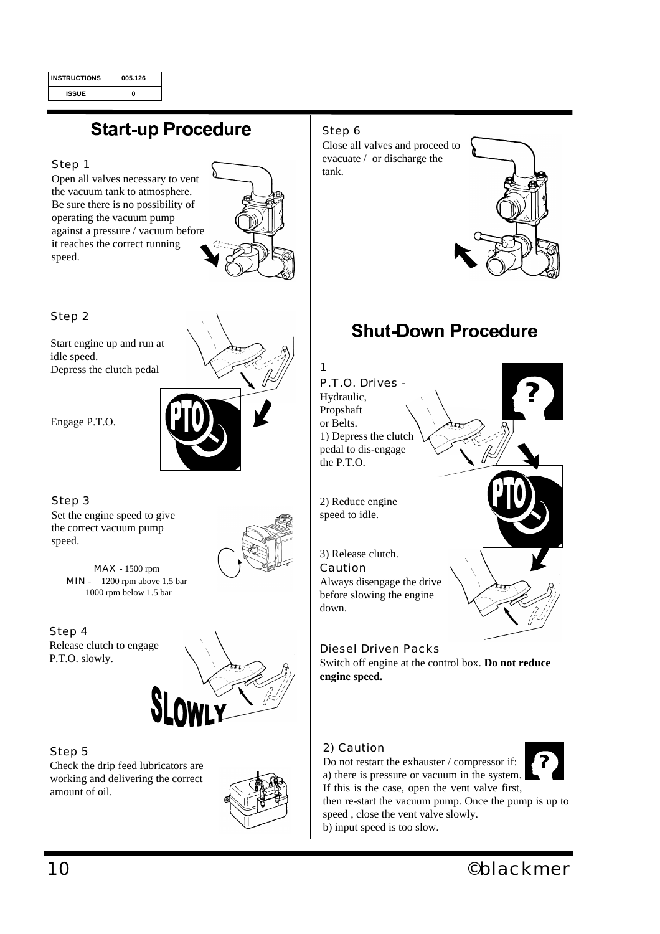| <b>INSTRUCTIONS</b> | 005.126 |
|---------------------|---------|
| <b>ISSUE</b>        |         |

## **Start-up Procedure**

#### Step 1

Open all valves necessary to vent the vacuum tank to atmosphere. Be sure there is no possibility of operating the vacuum pump against a pressure / vacuum before it reaches the correct running speed.



Step 2

Start engine up and run at idle speed. Depress the clutch pedal

Engage P.T.O.

#### Step 3

Set the engine speed to give the correct vacuum pump speed.



MAX - 1500 rpm MIN - 1200 rpm above 1.5 bar 1000 rpm below 1.5 bar

Step 4 Release clutch to engage P.T.O. slowly.



#### Step 5

Check the drip feed lubricators are working and delivering the correct amount of oil.



### Step 6

Close all valves and proceed to evacuate / or discharge the tank.



## **Shut-Down Procedure**



Diesel Driven Packs Switch off engine at the control box. **Do not reduce engine speed.**

## 2) Caution



If this is the case, open the vent valve first, then re-start the vacuum pump. Once the pump is up to speed , close the vent valve slowly. b) input speed is too slow.

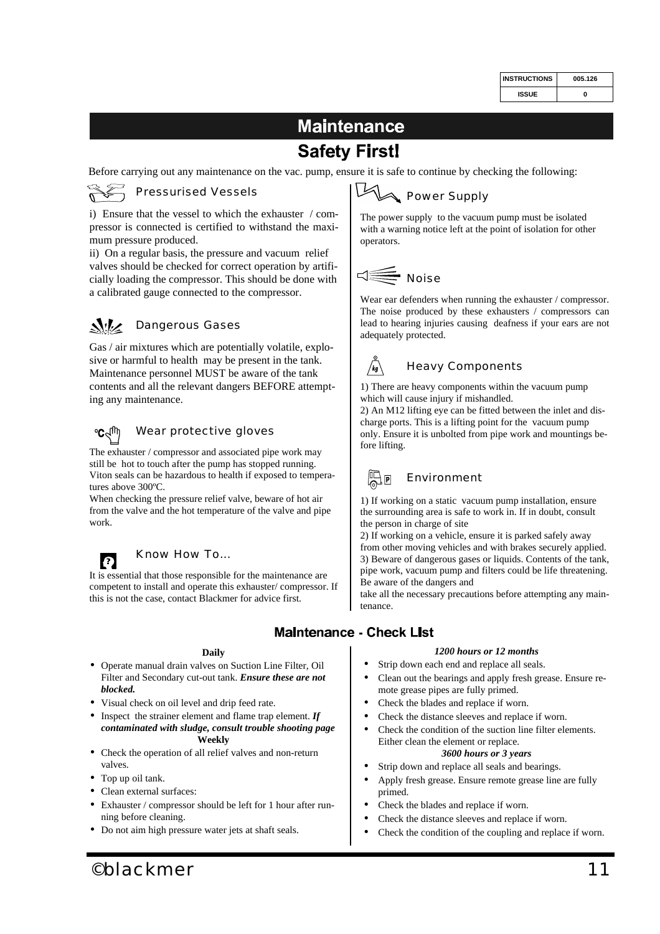| <b>INSTRUCTIONS</b> | 005.126 |
|---------------------|---------|
| ISSUE               | ŋ       |

## **Maintenance Safety First!**

Before carrying out any maintenance on the vac. pump, ensure it is safe to continue by checking the following:

## Pressurised Vessels

i) Ensure that the vessel to which the exhauster / compressor is connected is certified to withstand the maximum pressure produced.

ii) On a regular basis, the pressure and vacuum relief valves should be checked for correct operation by artificially loading the compressor. This should be done with a calibrated gauge connected to the compressor.

#### $\mathcal{N}$ Dangerous Gases

Gas / air mixtures which are potentially volatile, explosive or harmful to health may be present in the tank. Maintenance personnel MUST be aware of the tank contents and all the relevant dangers BEFORE attempting any maintenance.

#### $\mathbf{C}$ Wear protective gloves

The exhauster / compressor and associated pipe work may still be hot to touch after the pump has stopped running. Viton seals can be hazardous to health if exposed to temperatures above 300ºC.

When checking the pressure relief valve, beware of hot air from the valve and the hot temperature of the valve and pipe work.



## Know How To...

It is essential that those responsible for the maintenance are competent to install and operate this exhauster/ compressor. If this is not the case, contact Blackmer for advice first.

#### **Daily**

- Operate manual drain valves on Suction Line Filter, Oil Filter and Secondary cut-out tank. *Ensure these are not blocked.*
- Visual check on oil level and drip feed rate.
- Inspect the strainer element and flame trap element. *If contaminated with sludge, consult trouble shooting page* **Weekly**
- Check the operation of all relief valves and non-return valves.
- Top up oil tank.
- Clean external surfaces:
- Exhauster / compressor should be left for 1 hour after running before cleaning.
- Do not aim high pressure water jets at shaft seals.

#### $\boxtimes$ **Power Supply**

The power supply to the vacuum pump must be isolated with a warning notice left at the point of isolation for other operators.

## Noise

Wear ear defenders when running the exhauster / compressor. The noise produced by these exhausters / compressors can lead to hearing injuries causing deafness if your ears are not adequately protected.



1) There are heavy components within the vacuum pump

which will cause injury if mishandled. 2) An M12 lifting eye can be fitted between the inlet and dis-

charge ports. This is a lifting point for the vacuum pump only. Ensure it is unbolted from pipe work and mountings before lifting.

## Environment

1) If working on a static vacuum pump installation, ensure the surrounding area is safe to work in. If in doubt, consult the person in charge of site

2) If working on a vehicle, ensure it is parked safely away from other moving vehicles and with brakes securely applied. 3) Beware of dangerous gases or liquids. Contents of the tank, pipe work, vacuum pump and filters could be life threatening. Be aware of the dangers and

take all the necessary precautions before attempting any maintenance.

## **Maintenance - Check List**

### *1200 hours or 12 months*

- Strip down each end and replace all seals.
- Clean out the bearings and apply fresh grease. Ensure remote grease pipes are fully primed.
- Check the blades and replace if worn.
- Check the distance sleeves and replace if worn.
- Check the condition of the suction line filter elements. Either clean the element or replace. *3600 hours or 3 years*
- Strip down and replace all seals and bearings.
- Apply fresh grease. Ensure remote grease line are fully primed.
- Check the blades and replace if worn.
- Check the distance sleeves and replace if worn.
- Check the condition of the coupling and replace if worn.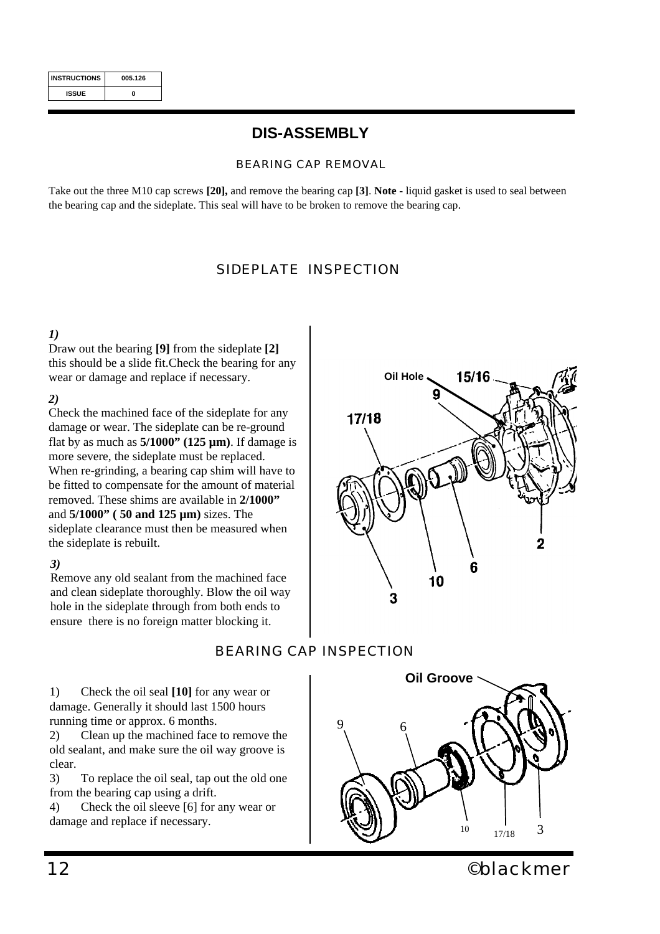| <b>INSTRUCTIONS</b> | 005.126 |
|---------------------|---------|
| <b>ISSUE</b>        | Λ       |

## **DIS-ASSEMBLY**

### *BEARING CAP REMOVAL*

Take out the three M10 cap screws **[20],** and remove the bearing cap **[3]**. **Note -** liquid gasket is used to seal between the bearing cap and the sideplate. This seal will have to be broken to remove the bearing cap.

## *SIDEPLATE INSPECTION*

## *1)*

Draw out the bearing **[9]** from the sideplate **[2]**  this should be a slide fit.Check the bearing for any wear or damage and replace if necessary.

### *2)*

Check the machined face of the sideplate for any damage or wear. The sideplate can be re-ground flat by as much as **5/1000" (125 µm)**. If damage is more severe, the sideplate must be replaced. When re-grinding, a bearing cap shim will have to be fitted to compensate for the amount of material removed. These shims are available in **2/1000"** and **5/1000" ( 50 and 125 µm)** sizes. The sideplate clearance must then be measured when the sideplate is rebuilt.

## *3)*

Remove any old sealant from the machined face and clean sideplate thoroughly. Blow the oil way hole in the sideplate through from both ends to ensure there is no foreign matter blocking it.

**Oil Hole** 15/16  $17/18$ 2 ĥ 10 3

## *BEARING CAP INSPECTION*

1) Check the oil seal **[10]** for any wear or damage. Generally it should last 1500 hours running time or approx. 6 months.

2) Clean up the machined face to remove the old sealant, and make sure the oil way groove is clear.

3) To replace the oil seal, tap out the old one from the bearing cap using a drift.

4) Check the oil sleeve [6] for any wear or damage and replace if necessary.

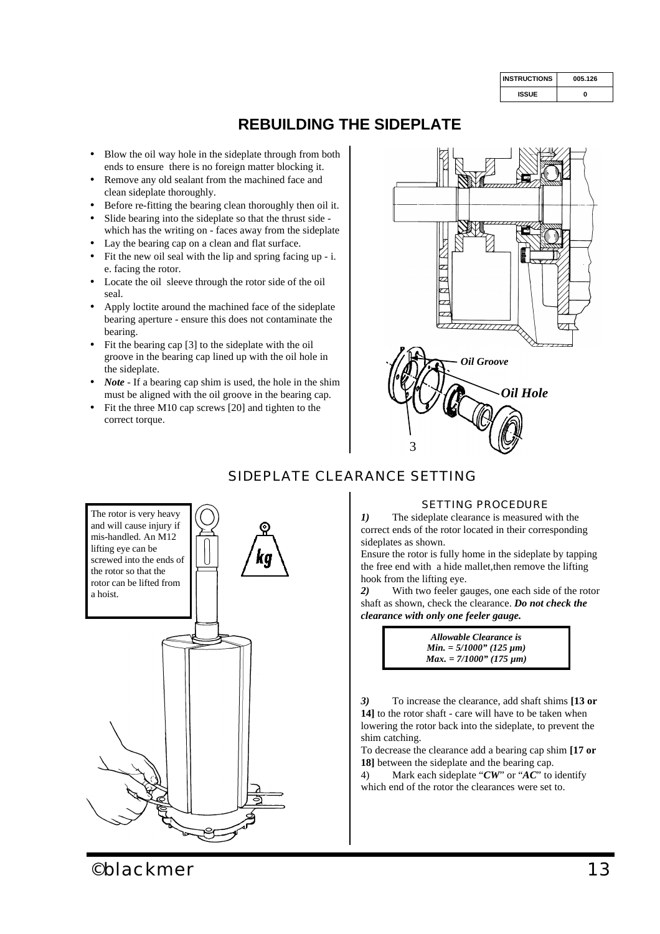| <b>INSTRUCTIONS</b> | 005.126 |  |  |
|---------------------|---------|--|--|
| <b>ISSUE</b>        | ŋ       |  |  |

## **REBUILDING THE SIDEPLATE**

- Blow the oil way hole in the sideplate through from both ends to ensure there is no foreign matter blocking it.
- Remove any old sealant from the machined face and clean sideplate thoroughly.
- Before re-fitting the bearing clean thoroughly then oil it.
- Slide bearing into the sideplate so that the thrust side which has the writing on - faces away from the sideplate
- Lay the bearing cap on a clean and flat surface.
- Fit the new oil seal with the lip and spring facing up i. e. facing the rotor.
- Locate the oil sleeve through the rotor side of the oil seal.
- Apply loctite around the machined face of the sideplate bearing aperture - ensure this does not contaminate the bearing.
- Fit the bearing cap [3] to the sideplate with the oil groove in the bearing cap lined up with the oil hole in the sideplate.
- *Note* If a bearing cap shim is used, the hole in the shim must be aligned with the oil groove in the bearing cap.
- Fit the three M10 cap screws [20] and tighten to the correct torque.



## *SIDEPLATE CLEARANCE SETTING*



*1)* The sideplate clearance is measured with the correct ends of the rotor located in their corresponding sideplates as shown.

Ensure the rotor is fully home in the sideplate by tapping the free end with a hide mallet,then remove the lifting hook from the lifting eye.

*2)* With two feeler gauges, one each side of the rotor shaft as shown, check the clearance. *Do not check the clearance with only one feeler gauge.*

> *Allowable Clearance is Min. = 5/1000" (125 µm) Max. = 7/1000" (175 µm)*

*3)* To increase the clearance, add shaft shims **[13 or 14]** to the rotor shaft - care will have to be taken when lowering the rotor back into the sideplate, to prevent the shim catching.

To decrease the clearance add a bearing cap shim **[17 or 18]** between the sideplate and the bearing cap.

4) Mark each sideplate "*CW*" or "*AC*" to identify which end of the rotor the clearances were set to.

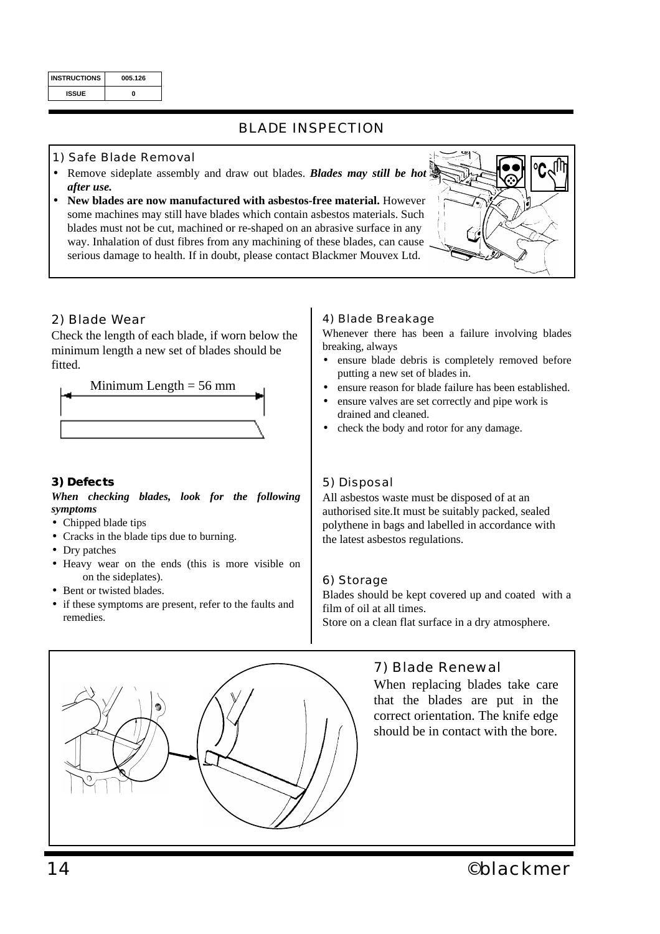| <b>INSTRUCTIONS</b> | 005.126 |  |  |
|---------------------|---------|--|--|
| <b>ISSUE</b>        | Λ       |  |  |

## *BLADE INSPECTION*

## *1) Safe Blade Removal*

- Remove sideplate assembly and draw out blades. *Blades may still be hot after use.*
- **New blades are now manufactured with asbestos-free material.** However some machines may still have blades which contain asbestos materials. Such blades must not be cut, machined or re-shaped on an abrasive surface in any way. Inhalation of dust fibres from any machining of these blades, can cause serious damage to health. If in doubt, please contact Blackmer Mouvex Ltd.



## *2) Blade Wear*

Check the length of each blade, if worn below the minimum length a new set of blades should be fitted.



## *3) Defects*

*When checking blades, look for the following symptoms*

- Chipped blade tips
- Cracks in the blade tips due to burning.
- Dry patches
- Heavy wear on the ends (this is more visible on on the sideplates).
- Bent or twisted blades.
- if these symptoms are present, refer to the faults and remedies.

## *4) Blade Breakage*

Whenever there has been a failure involving blades breaking, always

- ensure blade debris is completely removed before putting a new set of blades in.
- ensure reason for blade failure has been established.
- ensure valves are set correctly and pipe work is drained and cleaned.
- check the body and rotor for any damage.

## *5) Disposal*

All asbestos waste must be disposed of at an authorised site.It must be suitably packed, sealed polythene in bags and labelled in accordance with the latest asbestos regulations.

## *6) Storage*

Blades should be kept covered up and coated with a film of oil at all times. Store on a clean flat surface in a dry atmosphere.

## *7) Blade Renewal*

When replacing blades take care that the blades are put in the correct orientation. The knife edge should be in contact with the bore.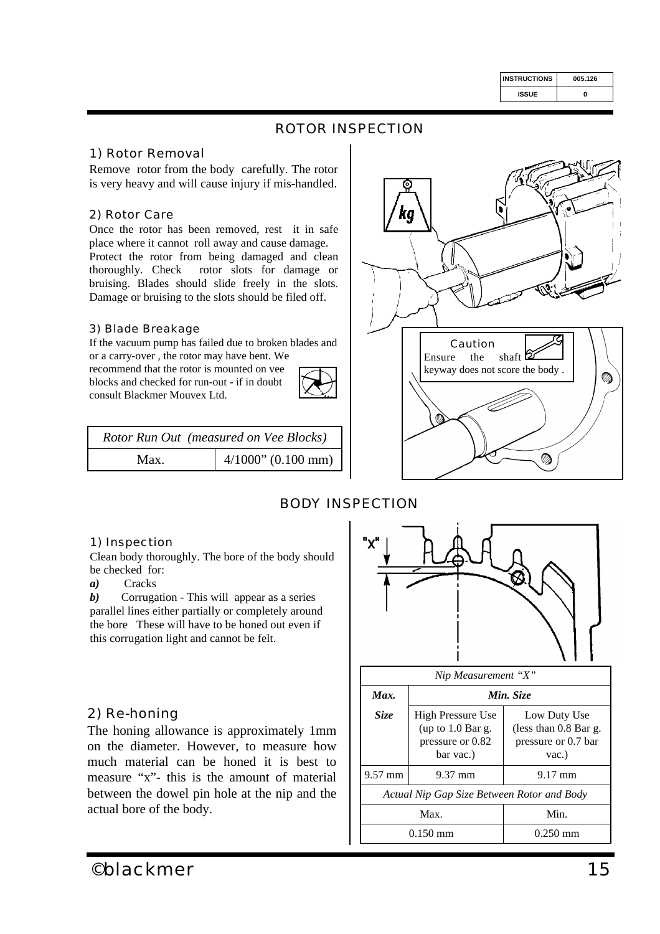| <b>INSTRUCTIONS</b> | 005.126 |  |  |
|---------------------|---------|--|--|
| ISSUE               | ŋ       |  |  |

## *ROTOR INSPECTION*

## *1) Rotor Removal*

Remove rotor from the body carefully. The rotor is very heavy and will cause injury if mis-handled.

### *2) Rotor Care*

Once the rotor has been removed, rest it in safe place where it cannot roll away and cause damage. Protect the rotor from being damaged and clean thoroughly. Check rotor slots for damage or bruising. Blades should slide freely in the slots. Damage or bruising to the slots should be filed off.

### *3) Blade Breakage*

If the vacuum pump has failed due to broken blades and

or a carry-over , the rotor may have bent. We recommend that the rotor is mounted on vee blocks and checked for run-out - if in doubt consult Blackmer Mouvex Ltd.



| Rotor Run Out (measured on Vee Blocks) |                       |  |
|----------------------------------------|-----------------------|--|
| Max.                                   | $4/1000$ " (0.100 mm) |  |



## *BODY INSPECTION*

#### *1) Inspection*

Clean body thoroughly. The bore of the body should be checked for:

*a)* Cracks

*b)* Corrugation - This will appear as a series parallel lines either partially or completely around the bore These will have to be honed out even if this corrugation light and cannot be felt.

## *2) Re-honing*

The honing allowance is approximately 1mm on the diameter. However, to measure how much material can be honed it is best to measure "x"- this is the amount of material between the dowel pin hole at the nip and the actual bore of the body.



| Nip Measurement "X"                        |                                                                                                                                                      |                    |  |  |  |
|--------------------------------------------|------------------------------------------------------------------------------------------------------------------------------------------------------|--------------------|--|--|--|
| Max.                                       | Min. Size                                                                                                                                            |                    |  |  |  |
| Size                                       | High Pressure Use<br>Low Duty Use<br>(up to $1.0$ Bar g.<br>(less than $0.8$ Bar g.<br>pressure or 0.82<br>pressure or 0.7 bar<br>bar vac.)<br>vac.) |                    |  |  |  |
| $9.57$ mm                                  | $9.37 \text{ mm}$                                                                                                                                    | $9.17 \text{ mm}$  |  |  |  |
| Actual Nip Gap Size Between Rotor and Body |                                                                                                                                                      |                    |  |  |  |
| Max.<br>Min.                               |                                                                                                                                                      |                    |  |  |  |
|                                            | $0.150 \text{ mm}$                                                                                                                                   | $0.250 \text{ mm}$ |  |  |  |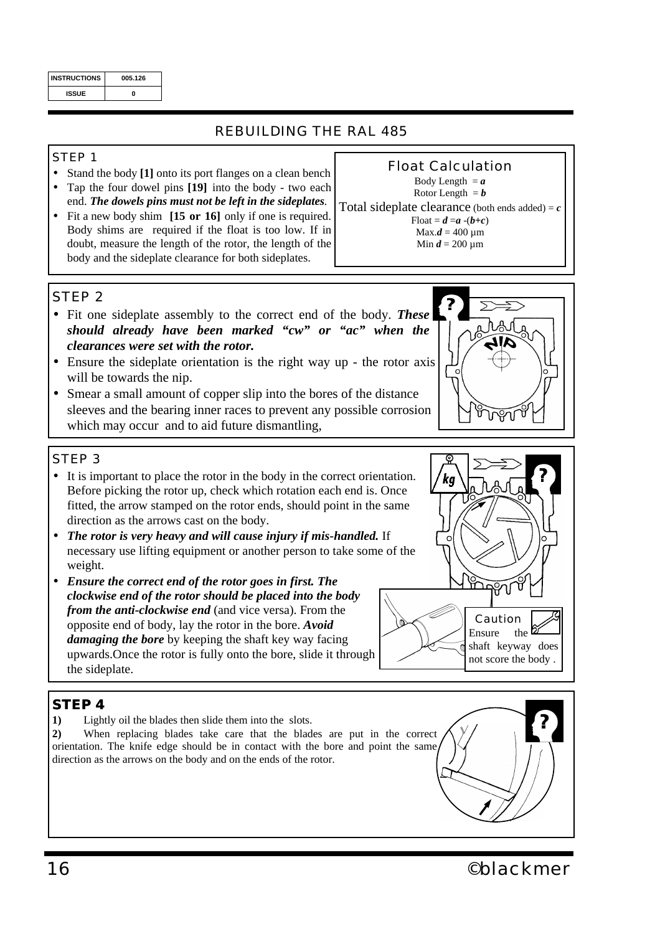| <b>INSTRUCTIONS</b> | 005.126 |  |  |
|---------------------|---------|--|--|
| <b>ISSUE</b>        |         |  |  |

## *REBUILDING THE RAL 485*

## *STEP 1*

- Stand the body **[1]** onto its port flanges on a clean bench
- Tap the four dowel pins **[19]** into the body two each end. *The dowels pins must not be left in the sideplates.*
- Fit a new body shim **[15 or 16]** only if one is required. Body shims are required if the float is too low. If in doubt, measure the length of the rotor, the length of the body and the sideplate clearance for both sideplates.

Body Length  $= a$ Rotor Length  $= b$ Total sideplate clearance (both ends added) =  $c$ Float =  $d = a -(b+c)$  $Max.d = 400 \mu m$ Min  $d = 200 \mu m$ 

*Float Calculation*

## *STEP 2*

- Fit one sideplate assembly to the correct end of the body. *These should already have been marked "cw" or "ac" when the clearances were set with the rotor.*
- Ensure the sideplate orientation is the right way up the rotor axis will be towards the nip.
- Smear a small amount of copper slip into the bores of the distance sleeves and the bearing inner races to prevent any possible corrosion which may occur and to aid future dismantling,

## *STEP 3*

- It is important to place the rotor in the body in the correct orientation. Before picking the rotor up, check which rotation each end is. Once fitted, the arrow stamped on the rotor ends, should point in the same direction as the arrows cast on the body.
- *The rotor is very heavy and will cause injury if mis-handled.* If necessary use lifting equipment or another person to take some of the weight.
- *Ensure the correct end of the rotor goes in first. The clockwise end of the rotor should be placed into the body from the anti-clockwise end* (and vice versa). From the opposite end of body, lay the rotor in the bore. *Avoid damaging the bore* by keeping the shaft key way facing upwards.Once the rotor is fully onto the bore, slide it through the sideplate.

## *STEP 4*

**1)** Lightly oil the blades then slide them into the slots.

**2)** When replacing blades take care that the blades are put in the correct orientation. The knife edge should be in contact with the bore and point the same direction as the arrows on the body and on the ends of the rotor.



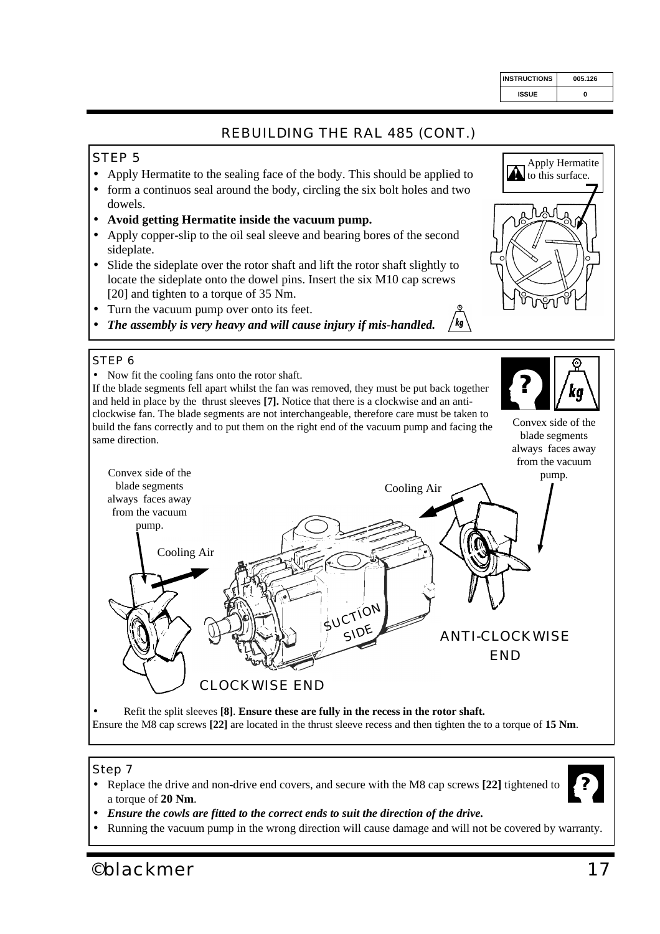# *REBUILDING THE RAL 485 (CONT.)*

## *STEP 5*

- Apply Hermatite to the sealing face of the body. This should be applied to
- form a continuos seal around the body, circling the six bolt holes and two dowels.
- **Avoid getting Hermatite inside the vacuum pump.**
- Apply copper-slip to the oil seal sleeve and bearing bores of the second sideplate.
- Slide the sideplate over the rotor shaft and lift the rotor shaft slightly to locate the sideplate onto the dowel pins. Insert the six M10 cap screws [20] and tighten to a torque of 35 Nm.
- Turn the vacuum pump over onto its feet.
- /kg • *The assembly is very heavy and will cause injury if mis-handled.*

## *STEP 6*

• Now fit the cooling fans onto the rotor shaft.

If the blade segments fell apart whilst the fan was removed, they must be put back together and held in place by the thrust sleeves **[7].** Notice that there is a clockwise and an anticlockwise fan. The blade segments are not interchangeable, therefore care must be taken to same direction.

Convex side of the blade segments always faces away from the vacuum



• Running the vacuum pump in the wrong direction will cause damage and will not be covered by warranty.

• Replace the drive and non-drive end covers, and secure with the M8 cap screws **[22]** tightened to

*©blackmer 17*

a torque of **20 Nm**.

*Step 7*





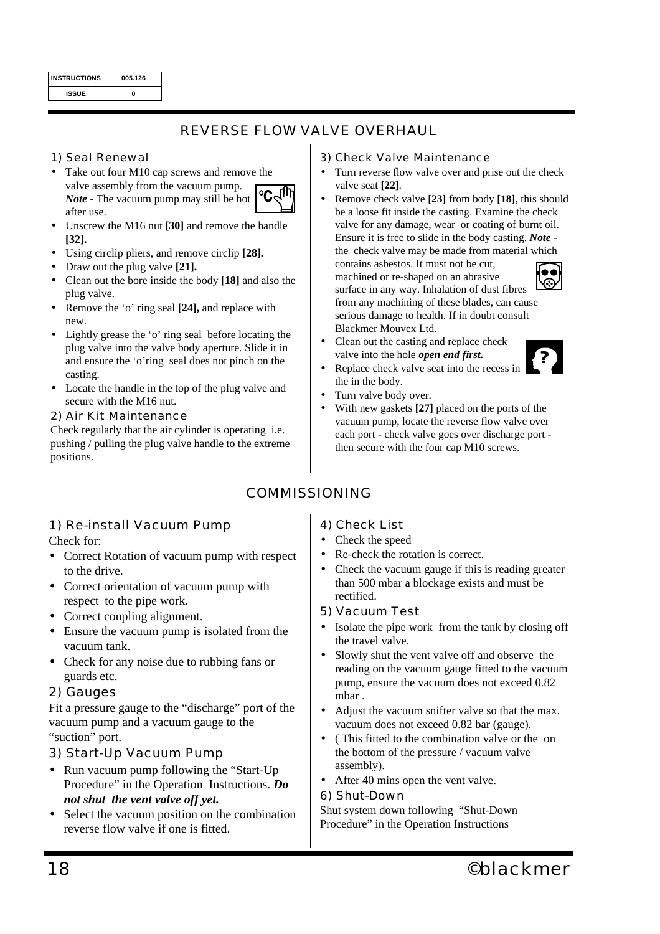| <b>INSTRUCTIONS</b> | 005.126 |  |  |
|---------------------|---------|--|--|
| <b>ISSUE</b>        | Λ       |  |  |

## *REVERSE FLOW VALVE OVERHAUL*

## *1) Seal Renewal*

- Take out four M10 cap screws and remove the valve assembly from the vacuum pump. *Note* - The vacuum pump may still be hot after use.
- Unscrew the M16 nut **[30]** and remove the handle **[32].**
- Using circlip pliers, and remove circlip **[28].**
- Draw out the plug valve **[21].**
- Clean out the bore inside the body **[18]** and also the plug valve.
- Remove the 'o' ring seal **[24],** and replace with new.
- Lightly grease the 'o' ring seal before locating the plug valve into the valve body aperture. Slide it in and ensure the 'o'ring seal does not pinch on the casting.
- Locate the handle in the top of the plug valve and secure with the M16 nut.
- *2) Air Kit Maintenance*

Check regularly that the air cylinder is operating i.e. pushing / pulling the plug valve handle to the extreme positions.

## *1) Re-install Vacuum Pump* Check for:

- Correct Rotation of vacuum pump with respect to the drive.
- Correct orientation of vacuum pump with respect to the pipe work.
- Correct coupling alignment.
- Ensure the vacuum pump is isolated from the vacuum tank.
- Check for any noise due to rubbing fans or guards etc.

## *2) Gauges*

Fit a pressure gauge to the "discharge" port of the vacuum pump and a vacuum gauge to the "suction" port.

## *3) Start-Up Vacuum Pump*

- Run vacuum pump following the "Start-Up" Procedure" in the Operation Instructions. *Do not shut the vent valve off yet.*
- Select the vacuum position on the combination reverse flow valve if one is fitted.

## *3) Check Valve Maintenance*

- Turn reverse flow valve over and prise out the check valve seat **[22]**.
- Remove check valve **[23]** from body **[18]**, this should be a loose fit inside the casting. Examine the check valve for any damage, wear or coating of burnt oil. Ensure it is free to slide in the body casting. *Note*  the check valve may be made from material which

contains asbestos. It must not be cut, machined or re-shaped on an abrasive surface in any way. Inhalation of dust fibres from any machining of these blades, can cause serious damage to health. If in doubt consult Blackmer Mouvex Ltd.



- Clean out the casting and replace check valve into the hole *open end first.*
- Replace check valve seat into the recess in the in the body.
- Turn valve body over.
- With new gaskets **[27]** placed on the ports of the vacuum pump, locate the reverse flow valve over each port - check valve goes over discharge port then secure with the four cap M10 screws.

## *COMMISSIONING*

## *4) Check List*

- Check the speed
- Re-check the rotation is correct.
- Check the vacuum gauge if this is reading greater than 500 mbar a blockage exists and must be rectified.
- *5) Vacuum Test*
- Isolate the pipe work from the tank by closing off the travel valve.
- Slowly shut the vent valve off and observe the reading on the vacuum gauge fitted to the vacuum pump, ensure the vacuum does not exceed 0.82 mbar .
- Adjust the vacuum snifter valve so that the max. vacuum does not exceed 0.82 bar (gauge).
- ( This fitted to the combination valve or the on the bottom of the pressure / vacuum valve assembly).
- After 40 mins open the vent valve.

## *6) Shut-Down*

Shut system down following "Shut-Down Procedure" in the Operation Instructions